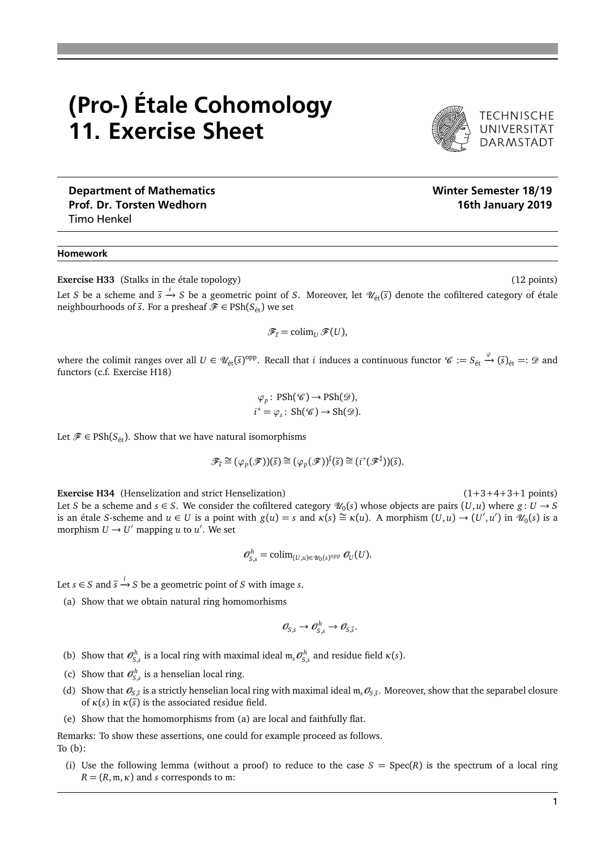## (Pro-) Étale Cohomology 11. Exercise Sheet

Prof. Dr. Torsten Wedhorn **16th January 2019** and 2019 Timo Henkel

## Homework

**Exercise H33** (Stalks in the étale topology) (12 points) (12 points)

Let *S* be a scheme and  $\bar{s} \stackrel{i}{\to} S$  be a geometric point of *S*. Moreover, let  $\mathscr{U}_{\text{\'et}}(\bar{s})$  denote the cofiltered category of étale neighbourhoods of  $\overline{s}$ . For a presheaf  $\mathscr{F} \in \text{PSh}(S_{\text{\'et}})$  we set

$$
\mathscr{F}_{\overline{s}}=\operatorname{colim}_U\mathscr{F}(U),
$$

where the colimit ranges over all  $U \in \mathscr{U}_{\text{\'et}}(\overline{s})^{\text{opp}}.$  Recall that *i* induces a continuous functor  $\mathscr{C} := S_{\text{\'et}} \xrightarrow{\varphi} (\overline{s})_{\text{\'et}} =: \mathscr{D}$  and functors (c.f. Exercise H18)

$$
\varphi_p
$$
: PSh( $\mathscr{C}$ )  $\rightarrow$  PSh( $\mathscr{D}$ ),  
 $i^* = \varphi_s$ : Sh( $\mathscr{C}$ )  $\rightarrow$  Sh( $\mathscr{D}$ ).

Let  $\mathscr{F} \in \text{PSh}(S_{\text{\'{e}t}})$ . Show that we have natural isomorphisms

$$
\mathscr{F}_{\overline{s}} \cong (\varphi_p(\mathscr{F}))(\overline{s}) \cong (\varphi_p(\mathscr{F}))^{\sharp}(\overline{s}) \cong (i^*(\mathscr{F}^{\sharp}))(\overline{s}).
$$

**Exercise H34** (Henselization and strict Henselization) (1+3+4+3+1 points) Let *S* be a scheme and  $s \in S$ . We consider the cofiltered category  $\mathcal{U}_0(s)$  whose objects are pairs  $(U, u)$  where  $g: U \to S$ is an étale *S*-scheme and  $u \in U$  is a point with  $g(u) = s$  and  $\kappa(s) \cong \kappa(u)$ . A morphism  $(U, u) \to (U', u')$  in  $\mathcal{U}_0(s)$  is a morphism  $U \rightarrow U'$  mapping *u* to *u'*. We set

$$
\mathcal{O}_{S,s}^h = \operatorname{colim}_{(U,u) \in \mathcal{U}_0(s)^{opp}} \mathcal{O}_U(U).
$$

Let  $s \in S$  and  $\overline{s} \xrightarrow{i} S$  be a geometric point of *S* with image *s*.

(a) Show that we obtain natural ring homomorhisms

$$
\mathcal{O}_{S,s}\to\mathcal{O}_{S,s}^h\to\mathcal{O}_{S,\bar{s}}.
$$

- (b) Show that  $\mathcal{O}_{S,s}^h$  is a local ring with maximal ideal  $\mathfrak{m}_s \mathcal{O}_{S,s}^h$  and residue field  $\kappa(s)$ .
- (c) Show that  $\mathcal{O}_{S,s}^h$  is a henselian local ring.
- (d) Show that  $\mathcal{O}_{S,\bar{S}}$  is a strictly henselian local ring with maximal ideal  $m_s\mathcal{O}_{S,\bar{S}}$ . Moreover, show that the separabel closure of  $\kappa(s)$  in  $\kappa(\overline{s})$  is the associated residue field.
- (e) Show that the homomorphisms from (a) are local and faithfully flat.

Remarks: To show these assertions, one could for example proceed as follows. To (b):

(i) Use the following lemma (without a proof) to reduce to the case  $S = Spec(R)$  is the spectrum of a local ring  $R = (R, \mathfrak{m}, \kappa)$  and *s* corresponds to  $\mathfrak{m}$ :



TECHNISCHE<br>UNIVERSITÄT<br>DARMSTADT